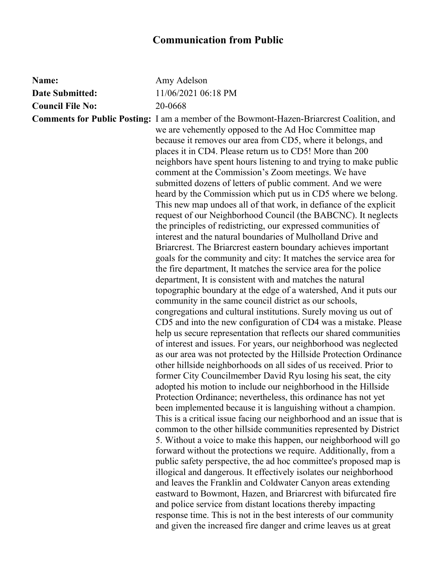| Name:                   | Amy Adelson                                                                                                                                                                                                                                                                                                                                                                                                                                                                                                                                                                                                                                                                                                                                                                                                                                                                                                                                                                                                                                                                                                                                                                                                                                                                                                                                                                                                                                                                                                                                                                                                                                                                                                                                                                                                                                                                                                                                                                                                                                                                                                                                                                                                                                                                                                                                                                                                                  |
|-------------------------|------------------------------------------------------------------------------------------------------------------------------------------------------------------------------------------------------------------------------------------------------------------------------------------------------------------------------------------------------------------------------------------------------------------------------------------------------------------------------------------------------------------------------------------------------------------------------------------------------------------------------------------------------------------------------------------------------------------------------------------------------------------------------------------------------------------------------------------------------------------------------------------------------------------------------------------------------------------------------------------------------------------------------------------------------------------------------------------------------------------------------------------------------------------------------------------------------------------------------------------------------------------------------------------------------------------------------------------------------------------------------------------------------------------------------------------------------------------------------------------------------------------------------------------------------------------------------------------------------------------------------------------------------------------------------------------------------------------------------------------------------------------------------------------------------------------------------------------------------------------------------------------------------------------------------------------------------------------------------------------------------------------------------------------------------------------------------------------------------------------------------------------------------------------------------------------------------------------------------------------------------------------------------------------------------------------------------------------------------------------------------------------------------------------------------|
| <b>Date Submitted:</b>  | 11/06/2021 06:18 PM                                                                                                                                                                                                                                                                                                                                                                                                                                                                                                                                                                                                                                                                                                                                                                                                                                                                                                                                                                                                                                                                                                                                                                                                                                                                                                                                                                                                                                                                                                                                                                                                                                                                                                                                                                                                                                                                                                                                                                                                                                                                                                                                                                                                                                                                                                                                                                                                          |
| <b>Council File No:</b> | 20-0668                                                                                                                                                                                                                                                                                                                                                                                                                                                                                                                                                                                                                                                                                                                                                                                                                                                                                                                                                                                                                                                                                                                                                                                                                                                                                                                                                                                                                                                                                                                                                                                                                                                                                                                                                                                                                                                                                                                                                                                                                                                                                                                                                                                                                                                                                                                                                                                                                      |
|                         | <b>Comments for Public Posting:</b> I am a member of the Bowmont-Hazen-Briarcrest Coalition, and<br>we are vehemently opposed to the Ad Hoc Committee map<br>because it removes our area from CD5, where it belongs, and<br>places it in CD4. Please return us to CD5! More than 200<br>neighbors have spent hours listening to and trying to make public<br>comment at the Commission's Zoom meetings. We have<br>submitted dozens of letters of public comment. And we were<br>heard by the Commission which put us in CD5 where we belong.<br>This new map undoes all of that work, in defiance of the explicit<br>request of our Neighborhood Council (the BABCNC). It neglects<br>the principles of redistricting, our expressed communities of<br>interest and the natural boundaries of Mulholland Drive and<br>Briarcrest. The Briarcrest eastern boundary achieves important<br>goals for the community and city: It matches the service area for<br>the fire department, It matches the service area for the police<br>department, It is consistent with and matches the natural<br>topographic boundary at the edge of a watershed, And it puts our<br>community in the same council district as our schools,<br>congregations and cultural institutions. Surely moving us out of<br>CD5 and into the new configuration of CD4 was a mistake. Please<br>help us secure representation that reflects our shared communities<br>of interest and issues. For years, our neighborhood was neglected<br>as our area was not protected by the Hillside Protection Ordinance<br>other hillside neighborhoods on all sides of us received. Prior to<br>former City Councilmember David Ryu losing his seat, the city<br>adopted his motion to include our neighborhood in the Hillside<br>Protection Ordinance; nevertheless, this ordinance has not yet<br>been implemented because it is languishing without a champion.<br>This is a critical issue facing our neighborhood and an issue that is<br>common to the other hillside communities represented by District<br>5. Without a voice to make this happen, our neighborhood will go<br>forward without the protections we require. Additionally, from a<br>public safety perspective, the ad hoc committee's proposed map is<br>illogical and dangerous. It effectively isolates our neighborhood<br>and leaves the Franklin and Coldwater Canyon areas extending |
|                         | eastward to Bowmont, Hazen, and Briarcrest with bifurcated fire                                                                                                                                                                                                                                                                                                                                                                                                                                                                                                                                                                                                                                                                                                                                                                                                                                                                                                                                                                                                                                                                                                                                                                                                                                                                                                                                                                                                                                                                                                                                                                                                                                                                                                                                                                                                                                                                                                                                                                                                                                                                                                                                                                                                                                                                                                                                                              |
|                         | and police service from distant locations thereby impacting                                                                                                                                                                                                                                                                                                                                                                                                                                                                                                                                                                                                                                                                                                                                                                                                                                                                                                                                                                                                                                                                                                                                                                                                                                                                                                                                                                                                                                                                                                                                                                                                                                                                                                                                                                                                                                                                                                                                                                                                                                                                                                                                                                                                                                                                                                                                                                  |
|                         | response time. This is not in the best interests of our community                                                                                                                                                                                                                                                                                                                                                                                                                                                                                                                                                                                                                                                                                                                                                                                                                                                                                                                                                                                                                                                                                                                                                                                                                                                                                                                                                                                                                                                                                                                                                                                                                                                                                                                                                                                                                                                                                                                                                                                                                                                                                                                                                                                                                                                                                                                                                            |
|                         | and given the increased fire danger and crime leaves us at great                                                                                                                                                                                                                                                                                                                                                                                                                                                                                                                                                                                                                                                                                                                                                                                                                                                                                                                                                                                                                                                                                                                                                                                                                                                                                                                                                                                                                                                                                                                                                                                                                                                                                                                                                                                                                                                                                                                                                                                                                                                                                                                                                                                                                                                                                                                                                             |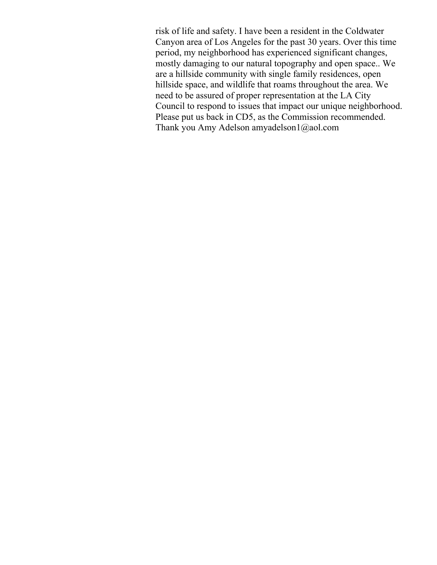risk of life and safety. I have been a resident in the Coldwater Canyon area of Los Angeles for the past 30 years. Over this time period, my neighborhood has experienced significant changes, mostly damaging to our natural topography and open space.. We are a hillside community with single family residences, open hillside space, and wildlife that roams throughout the area. We need to be assured of proper representation at the LA City Council to respond to issues that impact our unique neighborhood. Please put us back in CD5, as the Commission recommended. Thank you Amy Adelson amyadelson1@aol.com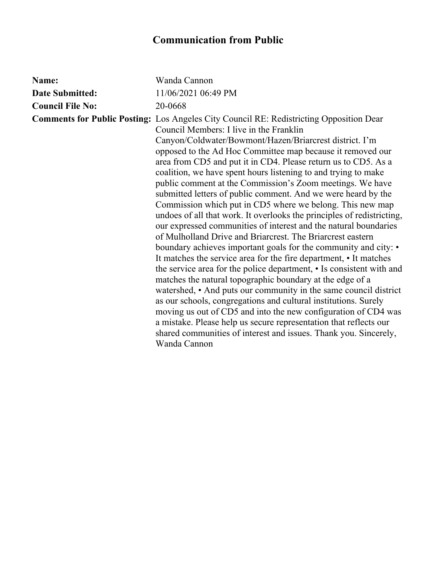| Name:                   | Wanda Cannon                                                                                                                                                                                                                                                                                                                                                                                                                                                                                                                                                                                                                                                                                                                                                                                                                                                                                                                                                                                                                                                                                                                                                                                                                                                                                                                                                                                                                                                 |
|-------------------------|--------------------------------------------------------------------------------------------------------------------------------------------------------------------------------------------------------------------------------------------------------------------------------------------------------------------------------------------------------------------------------------------------------------------------------------------------------------------------------------------------------------------------------------------------------------------------------------------------------------------------------------------------------------------------------------------------------------------------------------------------------------------------------------------------------------------------------------------------------------------------------------------------------------------------------------------------------------------------------------------------------------------------------------------------------------------------------------------------------------------------------------------------------------------------------------------------------------------------------------------------------------------------------------------------------------------------------------------------------------------------------------------------------------------------------------------------------------|
| <b>Date Submitted:</b>  | 11/06/2021 06:49 PM                                                                                                                                                                                                                                                                                                                                                                                                                                                                                                                                                                                                                                                                                                                                                                                                                                                                                                                                                                                                                                                                                                                                                                                                                                                                                                                                                                                                                                          |
| <b>Council File No:</b> | 20-0668                                                                                                                                                                                                                                                                                                                                                                                                                                                                                                                                                                                                                                                                                                                                                                                                                                                                                                                                                                                                                                                                                                                                                                                                                                                                                                                                                                                                                                                      |
|                         | <b>Comments for Public Posting:</b> Los Angeles City Council RE: Redistricting Opposition Dear<br>Council Members: I live in the Franklin<br>Canyon/Coldwater/Bowmont/Hazen/Briarcrest district. I'm<br>opposed to the Ad Hoc Committee map because it removed our<br>area from CD5 and put it in CD4. Please return us to CD5. As a<br>coalition, we have spent hours listening to and trying to make<br>public comment at the Commission's Zoom meetings. We have<br>submitted letters of public comment. And we were heard by the<br>Commission which put in CD5 where we belong. This new map<br>undoes of all that work. It overlooks the principles of redistricting,<br>our expressed communities of interest and the natural boundaries<br>of Mulholland Drive and Briarcrest. The Briarcrest eastern<br>boundary achieves important goals for the community and city: •<br>It matches the service area for the fire department, • It matches<br>the service area for the police department, • Is consistent with and<br>matches the natural topographic boundary at the edge of a<br>watershed, • And puts our community in the same council district<br>as our schools, congregations and cultural institutions. Surely<br>moving us out of CD5 and into the new configuration of CD4 was<br>a mistake. Please help us secure representation that reflects our<br>shared communities of interest and issues. Thank you. Sincerely,<br>Wanda Cannon |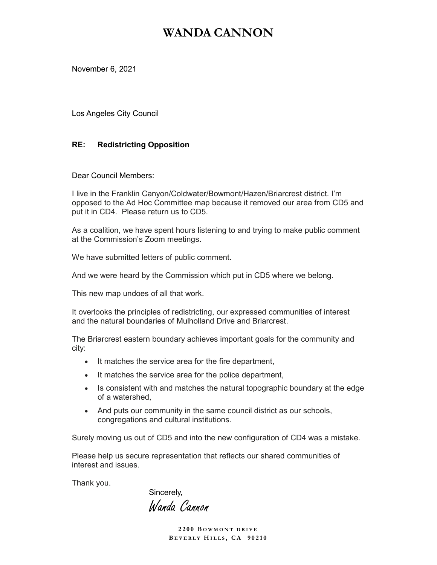### WANDA CANNON

November 6, 2021

Los Angeles City Council

#### RE: Redistricting Opposition

Dear Council Members:

I live in the Franklin Canyon/Coldwater/Bowmont/Hazen/Briarcrest district. I'm opposed to the Ad Hoc Committee map because it removed our area from CD5 and put it in CD4. Please return us to CD5.

As a coalition, we have spent hours listening to and trying to make public comment at the Commission's Zoom meetings.

We have submitted letters of public comment.

And we were heard by the Commission which put in CD5 where we belong.

This new map undoes of all that work.

It overlooks the principles of redistricting, our expressed communities of interest and the natural boundaries of Mulholland Drive and Briarcrest.

The Briarcrest eastern boundary achieves important goals for the community and city:

- It matches the service area for the fire department,
- It matches the service area for the police department,
- Is consistent with and matches the natural topographic boundary at the edge of a watershed,
- And puts our community in the same council district as our schools, congregations and cultural institutions.

Surely moving us out of CD5 and into the new configuration of CD4 was a mistake.

Please help us secure representation that reflects our shared communities of interest and issues.

Thank you.

Sincerely,

Wanda Cannon

2200 BOWMONT DRIVE BEVERLY HILLS, CA 90210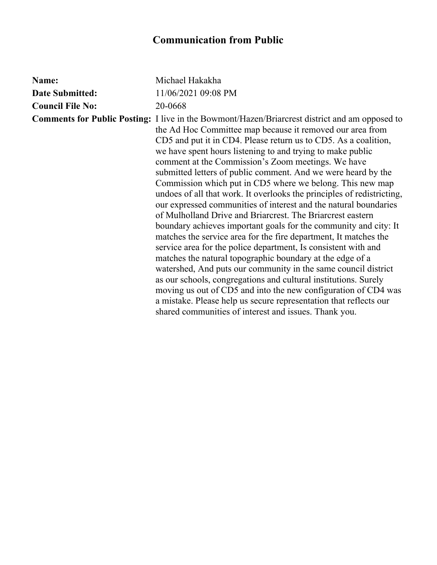| Name:                   | Michael Hakakha                                                                                                                                                                                                                                                                                                                                                                                                                                                                                                                                                                                                                                                                                                                                                                                                                                                                                                                                                                                                                                                                                                                                                                                                                                                                                                 |
|-------------------------|-----------------------------------------------------------------------------------------------------------------------------------------------------------------------------------------------------------------------------------------------------------------------------------------------------------------------------------------------------------------------------------------------------------------------------------------------------------------------------------------------------------------------------------------------------------------------------------------------------------------------------------------------------------------------------------------------------------------------------------------------------------------------------------------------------------------------------------------------------------------------------------------------------------------------------------------------------------------------------------------------------------------------------------------------------------------------------------------------------------------------------------------------------------------------------------------------------------------------------------------------------------------------------------------------------------------|
| <b>Date Submitted:</b>  | 11/06/2021 09:08 PM                                                                                                                                                                                                                                                                                                                                                                                                                                                                                                                                                                                                                                                                                                                                                                                                                                                                                                                                                                                                                                                                                                                                                                                                                                                                                             |
| <b>Council File No:</b> | 20-0668                                                                                                                                                                                                                                                                                                                                                                                                                                                                                                                                                                                                                                                                                                                                                                                                                                                                                                                                                                                                                                                                                                                                                                                                                                                                                                         |
|                         | <b>Comments for Public Posting:</b> I live in the Bowmont/Hazen/Briarcrest district and am opposed to<br>the Ad Hoc Committee map because it removed our area from<br>CD5 and put it in CD4. Please return us to CD5. As a coalition,<br>we have spent hours listening to and trying to make public<br>comment at the Commission's Zoom meetings. We have<br>submitted letters of public comment. And we were heard by the<br>Commission which put in CD5 where we belong. This new map<br>undoes of all that work. It overlooks the principles of redistricting,<br>our expressed communities of interest and the natural boundaries<br>of Mulholland Drive and Briarcrest. The Briarcrest eastern<br>boundary achieves important goals for the community and city. It<br>matches the service area for the fire department, It matches the<br>service area for the police department, Is consistent with and<br>matches the natural topographic boundary at the edge of a<br>watershed, And puts our community in the same council district<br>as our schools, congregations and cultural institutions. Surely<br>moving us out of CD5 and into the new configuration of CD4 was<br>a mistake. Please help us secure representation that reflects our<br>shared communities of interest and issues. Thank you. |